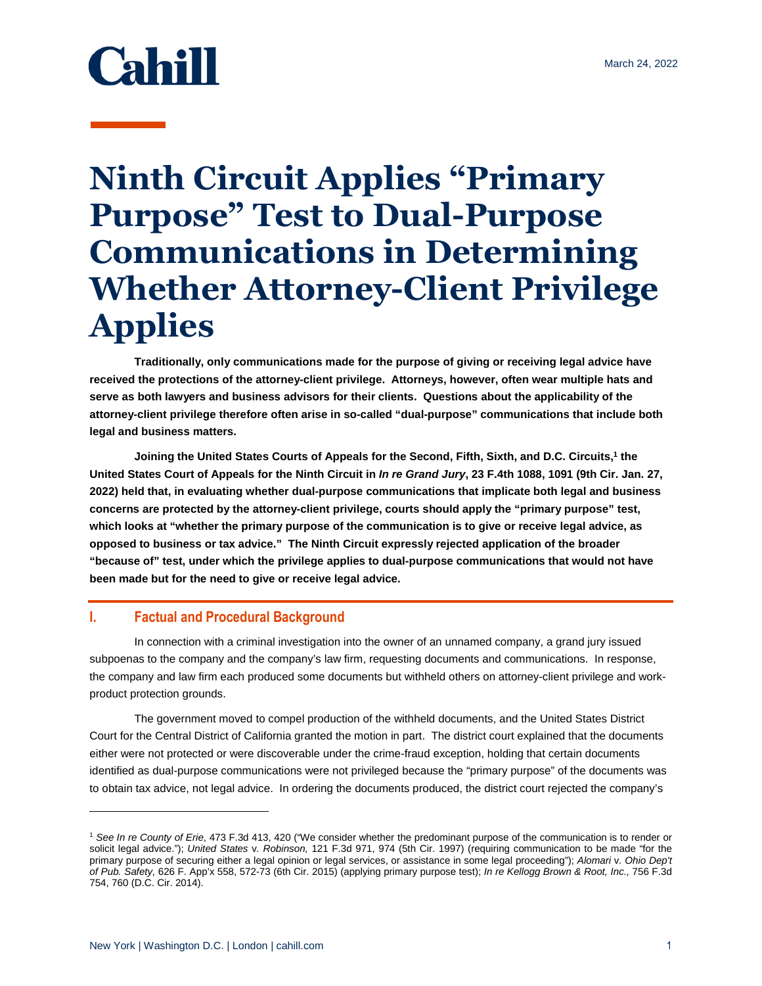# **Cahill**

## **Ninth Circuit Applies "Primary Purpose" Test to Dual-Purpose Communications in Determining Whether Attorney-Client Privilege Applies**

**Traditionally, only communications made for the purpose of giving or receiving legal advice have received the protections of the attorney-client privilege. Attorneys, however, often wear multiple hats and serve as both lawyers and business advisors for their clients. Questions about the applicability of the attorney-client privilege therefore often arise in so-called "dual-purpose" communications that include both legal and business matters.** 

**Joining the United States Courts of Appeals for the Second, Fifth, Sixth, and D.C. Circuits,<sup>1</sup> the United States Court of Appeals for the Ninth Circuit in** *In re Grand Jury***, 23 F.4th 1088, 1091 (9th Cir. Jan. 27, 2022) held that, in evaluating whether dual-purpose communications that implicate both legal and business concerns are protected by the attorney-client privilege, courts should apply the "primary purpose" test, which looks at "whether the primary purpose of the communication is to give or receive legal advice, as opposed to business or tax advice." The Ninth Circuit expressly rejected application of the broader "because of" test, under which the privilege applies to dual-purpose communications that would not have been made but for the need to give or receive legal advice.** 

### **I. Factual and Procedural Background**

In connection with a criminal investigation into the owner of an unnamed company, a grand jury issued subpoenas to the company and the company's law firm, requesting documents and communications. In response, the company and law firm each produced some documents but withheld others on attorney-client privilege and workproduct protection grounds.

The government moved to compel production of the withheld documents, and the United States District Court for the Central District of California granted the motion in part. The district court explained that the documents either were not protected or were discoverable under the crime-fraud exception, holding that certain documents identified as dual-purpose communications were not privileged because the "primary purpose" of the documents was to obtain tax advice, not legal advice. In ordering the documents produced, the district court rejected the company's

l

<sup>1</sup> *See In re County of Erie*, 473 F.3d 413, 420 ("We consider whether the predominant purpose of the communication is to render or solicit legal advice."); *United States* v*. Robinson,* 121 F.3d 971, 974 (5th Cir. 1997) (requiring communication to be made "for the primary purpose of securing either a legal opinion or legal services, or assistance in some legal proceeding"); *Alomari* v*. Ohio Dep't of Pub. Safety,* 626 F. App'x 558, 572-73 (6th Cir. 2015) (applying primary purpose test); *In re Kellogg Brown & Root, Inc.,* 756 F.3d 754, 760 (D.C. Cir. 2014).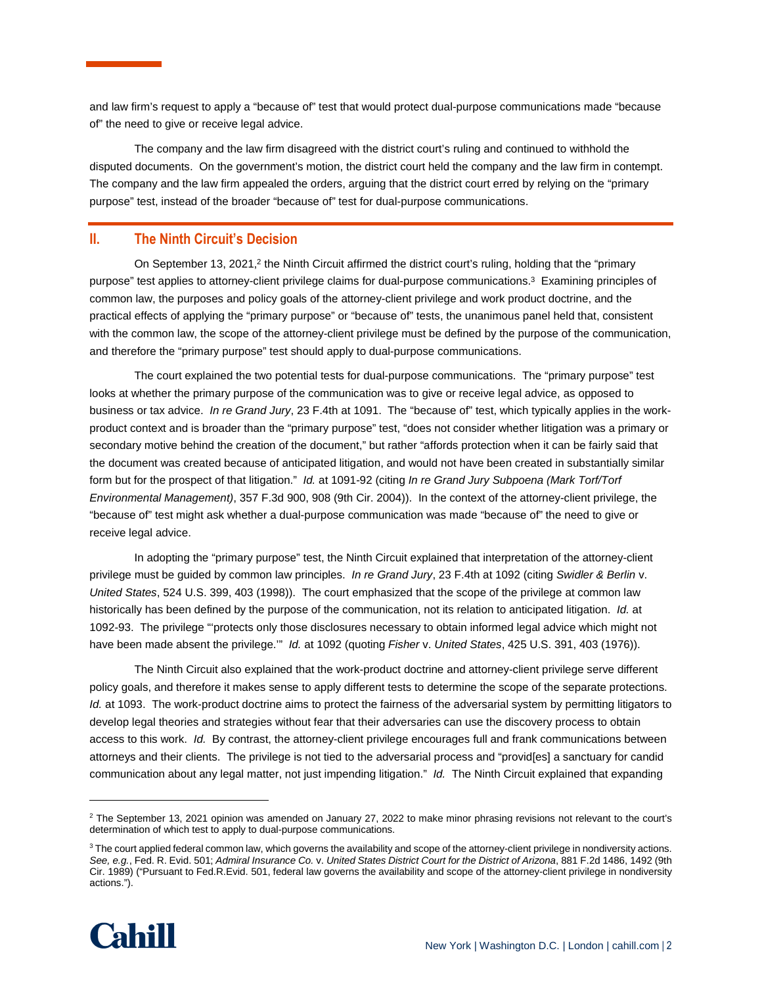and law firm's request to apply a "because of" test that would protect dual-purpose communications made "because of" the need to give or receive legal advice.

The company and the law firm disagreed with the district court's ruling and continued to withhold the disputed documents. On the government's motion, the district court held the company and the law firm in contempt. The company and the law firm appealed the orders, arguing that the district court erred by relying on the "primary purpose" test, instead of the broader "because of" test for dual-purpose communications.

### **II. The Ninth Circuit's Decision**

On September 13, 2021,<sup>2</sup> the Ninth Circuit affirmed the district court's ruling, holding that the "primary purpose" test applies to attorney-client privilege claims for dual-purpose communications.<sup>3</sup> Examining principles of common law, the purposes and policy goals of the attorney-client privilege and work product doctrine, and the practical effects of applying the "primary purpose" or "because of" tests, the unanimous panel held that, consistent with the common law, the scope of the attorney-client privilege must be defined by the purpose of the communication, and therefore the "primary purpose" test should apply to dual-purpose communications.

The court explained the two potential tests for dual-purpose communications. The "primary purpose" test looks at whether the primary purpose of the communication was to give or receive legal advice, as opposed to business or tax advice. *In re Grand Jury*, 23 F.4th at 1091. The "because of" test, which typically applies in the workproduct context and is broader than the "primary purpose" test, "does not consider whether litigation was a primary or secondary motive behind the creation of the document," but rather "affords protection when it can be fairly said that the document was created because of anticipated litigation, and would not have been created in substantially similar form but for the prospect of that litigation." *Id.* at 1091-92 (citing *In re Grand Jury Subpoena (Mark Torf/Torf Environmental Management)*, 357 F.3d 900, 908 (9th Cir. 2004)). In the context of the attorney-client privilege, the "because of" test might ask whether a dual-purpose communication was made "because of" the need to give or receive legal advice.

In adopting the "primary purpose" test, the Ninth Circuit explained that interpretation of the attorney-client privilege must be guided by common law principles. *In re Grand Jury*, 23 F.4th at 1092 (citing *Swidler & Berlin* v. *United States*, 524 U.S. 399, 403 (1998)). The court emphasized that the scope of the privilege at common law historically has been defined by the purpose of the communication, not its relation to anticipated litigation. *Id.* at 1092-93.The privilege "'protects only those disclosures necessary to obtain informed legal advice which might not have been made absent the privilege.'" *Id.* at 1092 (quoting *Fisher* v. *United States*, 425 U.S. 391, 403 (1976)).

The Ninth Circuit also explained that the work-product doctrine and attorney-client privilege serve different policy goals, and therefore it makes sense to apply different tests to determine the scope of the separate protections. *Id.* at 1093. The work-product doctrine aims to protect the fairness of the adversarial system by permitting litigators to develop legal theories and strategies without fear that their adversaries can use the discovery process to obtain access to this work. *Id.* By contrast, the attorney-client privilege encourages full and frank communications between attorneys and their clients. The privilege is not tied to the adversarial process and "provid[es] a sanctuary for candid communication about any legal matter, not just impending litigation." *Id.* The Ninth Circuit explained that expanding

<sup>&</sup>lt;sup>3</sup> The court applied federal common law, which governs the availability and scope of the attorney-client privilege in nondiversity actions. *See, e.g.*, Fed. R. Evid. 501; *Admiral Insurance Co.* v. *United States District Court for the District of Arizona*, 881 F.2d 1486, 1492 (9th Cir. 1989) ("Pursuant to Fed.R.Evid. 501, federal law governs the availability and scope of the attorney-client privilege in nondiversity actions.").



 $\overline{a}$ 

 $2$  The September 13, 2021 opinion was amended on January 27, 2022 to make minor phrasing revisions not relevant to the court's determination of which test to apply to dual-purpose communications.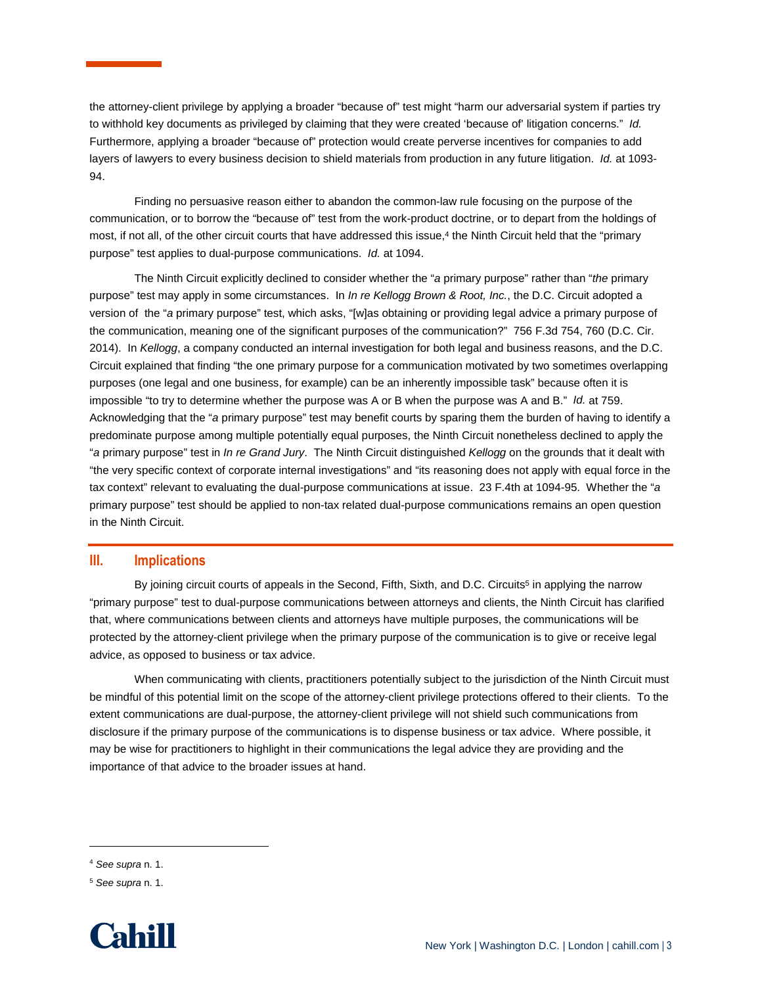the attorney-client privilege by applying a broader "because of" test might "harm our adversarial system if parties try to withhold key documents as privileged by claiming that they were created 'because of' litigation concerns." *Id.* Furthermore, applying a broader "because of" protection would create perverse incentives for companies to add layers of lawyers to every business decision to shield materials from production in any future litigation. *Id.* at 1093- 94.

Finding no persuasive reason either to abandon the common-law rule focusing on the purpose of the communication, or to borrow the "because of" test from the work-product doctrine, or to depart from the holdings of most, if not all, of the other circuit courts that have addressed this issue,<sup>4</sup> the Ninth Circuit held that the "primary purpose" test applies to dual-purpose communications. *Id.* at 1094.

The Ninth Circuit explicitly declined to consider whether the "*a* primary purpose" rather than "*the* primary purpose" test may apply in some circumstances. In *In re Kellogg Brown & Root, Inc.*, the D.C. Circuit adopted a version of the "*a* primary purpose" test, which asks, "[w]as obtaining or providing legal advice a primary purpose of the communication, meaning one of the significant purposes of the communication?" 756 F.3d 754, 760 (D.C. Cir. 2014). In *Kellogg*, a company conducted an internal investigation for both legal and business reasons, and the D.C. Circuit explained that finding "the one primary purpose for a communication motivated by two sometimes overlapping purposes (one legal and one business, for example) can be an inherently impossible task" because often it is impossible "to try to determine whether the purpose was A or B when the purpose was A and B." *Id.* at 759. Acknowledging that the "*a* primary purpose" test may benefit courts by sparing them the burden of having to identify a predominate purpose among multiple potentially equal purposes, the Ninth Circuit nonetheless declined to apply the "*a* primary purpose" test in *In re Grand Jury*. The Ninth Circuit distinguished *Kellogg* on the grounds that it dealt with "the very specific context of corporate internal investigations" and "its reasoning does not apply with equal force in the tax context" relevant to evaluating the dual-purpose communications at issue. 23 F.4th at 1094-95. Whether the "*a* primary purpose" test should be applied to non-tax related dual-purpose communications remains an open question in the Ninth Circuit.

#### **III. Implications**

By joining circuit courts of appeals in the Second, Fifth, Sixth, and D.C. Circuits<sup>5</sup> in applying the narrow "primary purpose" test to dual-purpose communications between attorneys and clients, the Ninth Circuit has clarified that, where communications between clients and attorneys have multiple purposes, the communications will be protected by the attorney-client privilege when the primary purpose of the communication is to give or receive legal advice, as opposed to business or tax advice.

When communicating with clients, practitioners potentially subject to the jurisdiction of the Ninth Circuit must be mindful of this potential limit on the scope of the attorney-client privilege protections offered to their clients. To the extent communications are dual-purpose, the attorney-client privilege will not shield such communications from disclosure if the primary purpose of the communications is to dispense business or tax advice. Where possible, it may be wise for practitioners to highlight in their communications the legal advice they are providing and the importance of that advice to the broader issues at hand.

 $\overline{a}$ 

<sup>5</sup> *See supra* n. 1.



<sup>4</sup> *See supra* n. 1.